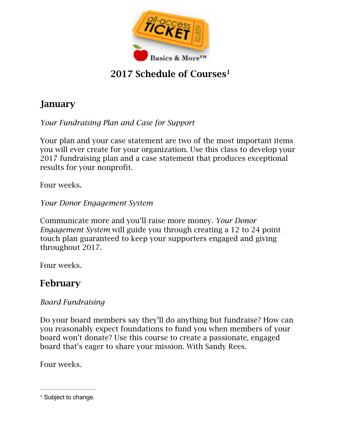

# 2017 Schedule of Courses<sup>1</sup>

# January

*Your Fundraising Plan and Case for Support* 

Your plan and your case statement are two of the most important items you will ever create for your organization. Use this class to develop your 2017 fundraising plan and a case statement that produces exceptional results for your nonprofit.

Four weeks.

*Your Donor Engagement System* 

Communicate more and you'll raise more money. *Your Donor Engagement System* will guide you through creating a 12 to 24 point touch plan guaranteed to keep your supporters engaged and giving throughout 2017.

Four weeks.

### February

#### *Board Fundraising*

Do your board members say they'll do anything but fundraise? How can you reasonably expect foundations to fund you when members of your board won't donate? Use this course to create a passionate, engaged board that's eager to share your mission. With Sandy Rees.

Four weeks.

<sup>&</sup>lt;sup>1</sup> Subject to change.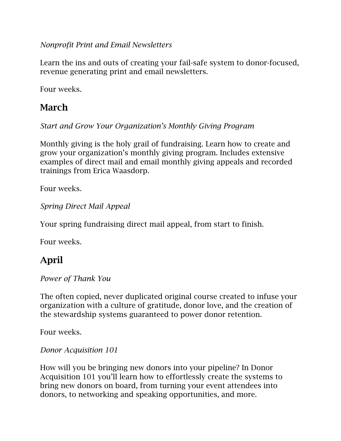*Nonprofit Print and Email Newsletters* 

Learn the ins and outs of creating your fail-safe system to donor-focused, revenue generating print and email newsletters.

Four weeks.

# March

*Start and Grow Your Organization's Monthly Giving Program* 

Monthly giving is the holy grail of fundraising. Learn how to create and grow your organization's monthly giving program. Includes extensive examples of direct mail and email monthly giving appeals and recorded trainings from Erica Waasdorp.

Four weeks.

*Spring Direct Mail Appeal* 

Your spring fundraising direct mail appeal, from start to finish.

Four weeks.

### April

*Power of Thank You* 

The often copied, never duplicated original course created to infuse your organization with a culture of gratitude, donor love, and the creation of the stewardship systems guaranteed to power donor retention.

Four weeks.

*Donor Acquisition 101* 

How will you be bringing new donors into your pipeline? In Donor Acquisition 101 you'll learn how to effortlessly create the systems to bring new donors on board, from turning your event attendees into donors, to networking and speaking opportunities, and more.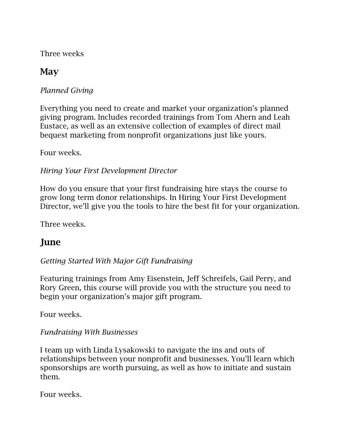Three weeks

## **May**

*Planned Giving* 

Everything you need to create and market your organization's planned giving program. Includes recorded trainings from Tom Ahern and Leah Eustace, as well as an extensive collection of examples of direct mail bequest marketing from nonprofit organizations just like yours.

Four weeks.

#### *Hiring Your First Development Director*

How do you ensure that your first fundraising hire stays the course to grow long term donor relationships. In Hiring Your First Development Director, we'll give you the tools to hire the best fit for your organization.

Three weeks.

# June

#### *Getting Started With Major Gift Fundraising*

Featuring trainings from Amy Eisenstein, Jeff Schreifels, Gail Perry, and Rory Green, this course will provide you with the structure you need to begin your organization's major gift program.

Four weeks.

#### *Fundraising With Businesses*

I team up with Linda Lysakowski to navigate the ins and outs of relationships between your nonprofit and businesses. You'll learn which sponsorships are worth pursuing, as well as how to initiate and sustain them.

Four weeks.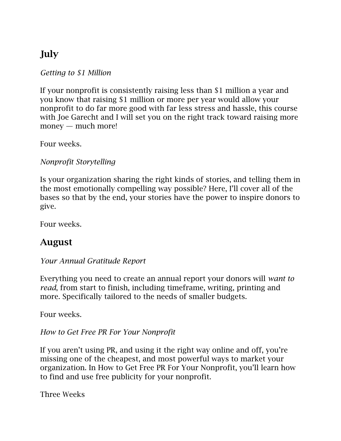# July

*Getting to \$1 Million* 

If your nonprofit is consistently raising less than \$1 million a year and you know that raising \$1 million or more per year would allow your nonprofit to do far more good with far less stress and hassle, this course with Joe Garecht and I will set you on the right track toward raising more money — much more!

Four weeks.

*Nonprofit Storytelling* 

Is your organization sharing the right kinds of stories, and telling them in the most emotionally compelling way possible? Here, I'll cover all of the bases so that by the end, your stories have the power to inspire donors to give.

Four weeks.

# August

*Your Annual Gratitude Report* 

Everything you need to create an annual report your donors will *want to read*, from start to finish, including timeframe, writing, printing and more. Specifically tailored to the needs of smaller budgets.

Four weeks.

*How to Get Free PR For Your Nonprofit* 

If you aren't using PR, and using it the right way online and off, you're missing one of the cheapest, and most powerful ways to market your organization. In How to Get Free PR For Your Nonprofit, you'll learn how to find and use free publicity for your nonprofit.

Three Weeks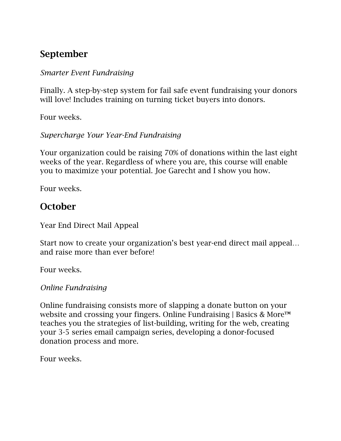## September

#### *Smarter Event Fundraising*

Finally. A step-by-step system for fail safe event fundraising your donors will love! Includes training on turning ticket buyers into donors.

Four weeks.

#### *Supercharge Your Year-End Fundraising*

Your organization could be raising 70% of donations within the last eight weeks of the year. Regardless of where you are, this course will enable you to maximize your potential. Joe Garecht and I show you how.

Four weeks.

### **October**

Year End Direct Mail Appeal

Start now to create your organization's best year-end direct mail appeal… and raise more than ever before!

Four weeks.

#### *Online Fundraising*

Online fundraising consists more of slapping a donate button on your website and crossing your fingers. Online Fundraising | Basics & More™ teaches you the strategies of list-building, writing for the web, creating your 3-5 series email campaign series, developing a donor-focused donation process and more.

Four weeks.